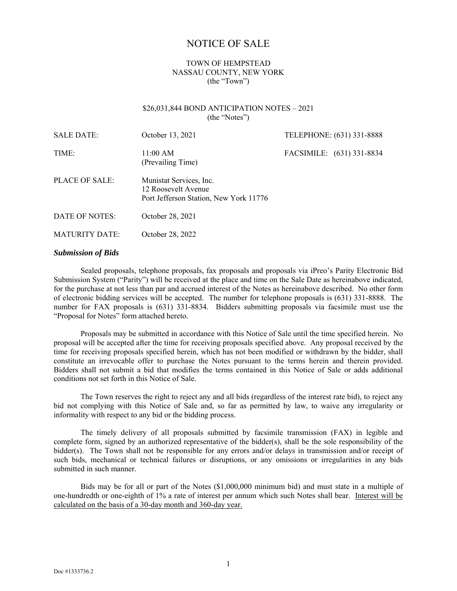# NOTICE OF SALE

### TOWN OF HEMPSTEAD NASSAU COUNTY, NEW YORK (the "Town")

#### \$26,031,844 BOND ANTICIPATION NOTES – 2021 (the "Notes")

| <b>SALE DATE:</b>     | October 13, 2021                                                                         | TELEPHONE: (631) 331-8888 |
|-----------------------|------------------------------------------------------------------------------------------|---------------------------|
| TIME:                 | 11:00 AM<br>(Prevailing Time)                                                            | FACSIMILE: (631) 331-8834 |
| PLACE OF SALE:        | Munistat Services, Inc.<br>12 Roosevelt Avenue<br>Port Jefferson Station, New York 11776 |                           |
| DATE OF NOTES:        | October 28, 2021                                                                         |                           |
| <b>MATURITY DATE:</b> | October 28, 2022                                                                         |                           |

#### *Submission of Bids*

Sealed proposals, telephone proposals, fax proposals and proposals via iPreo's Parity Electronic Bid Submission System ("Parity") will be received at the place and time on the Sale Date as hereinabove indicated, for the purchase at not less than par and accrued interest of the Notes as hereinabove described. No other form of electronic bidding services will be accepted. The number for telephone proposals is (631) 331-8888. The number for FAX proposals is (631) 331-8834. Bidders submitting proposals via facsimile must use the "Proposal for Notes" form attached hereto.

Proposals may be submitted in accordance with this Notice of Sale until the time specified herein. No proposal will be accepted after the time for receiving proposals specified above. Any proposal received by the time for receiving proposals specified herein, which has not been modified or withdrawn by the bidder, shall constitute an irrevocable offer to purchase the Notes pursuant to the terms herein and therein provided. Bidders shall not submit a bid that modifies the terms contained in this Notice of Sale or adds additional conditions not set forth in this Notice of Sale.

The Town reserves the right to reject any and all bids (regardless of the interest rate bid), to reject any bid not complying with this Notice of Sale and, so far as permitted by law, to waive any irregularity or informality with respect to any bid or the bidding process.

The timely delivery of all proposals submitted by facsimile transmission (FAX) in legible and complete form, signed by an authorized representative of the bidder(s), shall be the sole responsibility of the bidder(s). The Town shall not be responsible for any errors and/or delays in transmission and/or receipt of such bids, mechanical or technical failures or disruptions, or any omissions or irregularities in any bids submitted in such manner.

Bids may be for all or part of the Notes (\$1,000,000 minimum bid) and must state in a multiple of one-hundredth or one-eighth of 1% a rate of interest per annum which such Notes shall bear. Interest will be calculated on the basis of a 30-day month and 360-day year.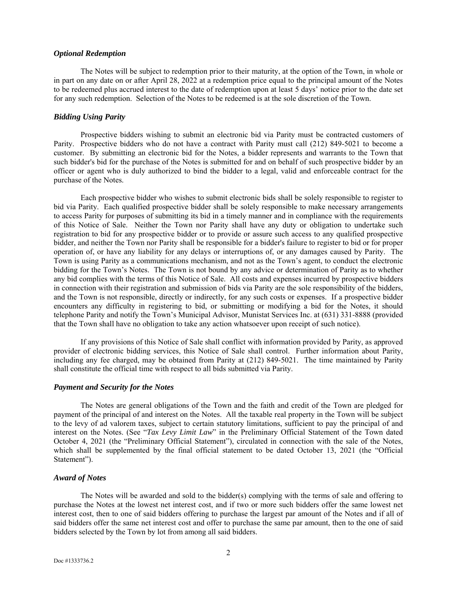#### *Optional Redemption*

The Notes will be subject to redemption prior to their maturity, at the option of the Town, in whole or in part on any date on or after April 28, 2022 at a redemption price equal to the principal amount of the Notes to be redeemed plus accrued interest to the date of redemption upon at least 5 days' notice prior to the date set for any such redemption. Selection of the Notes to be redeemed is at the sole discretion of the Town.

#### *Bidding Using Parity*

Prospective bidders wishing to submit an electronic bid via Parity must be contracted customers of Parity. Prospective bidders who do not have a contract with Parity must call (212) 849-5021 to become a customer. By submitting an electronic bid for the Notes, a bidder represents and warrants to the Town that such bidder's bid for the purchase of the Notes is submitted for and on behalf of such prospective bidder by an officer or agent who is duly authorized to bind the bidder to a legal, valid and enforceable contract for the purchase of the Notes.

Each prospective bidder who wishes to submit electronic bids shall be solely responsible to register to bid via Parity. Each qualified prospective bidder shall be solely responsible to make necessary arrangements to access Parity for purposes of submitting its bid in a timely manner and in compliance with the requirements of this Notice of Sale. Neither the Town nor Parity shall have any duty or obligation to undertake such registration to bid for any prospective bidder or to provide or assure such access to any qualified prospective bidder, and neither the Town nor Parity shall be responsible for a bidder's failure to register to bid or for proper operation of, or have any liability for any delays or interruptions of, or any damages caused by Parity. The Town is using Parity as a communications mechanism, and not as the Town's agent, to conduct the electronic bidding for the Town's Notes. The Town is not bound by any advice or determination of Parity as to whether any bid complies with the terms of this Notice of Sale. All costs and expenses incurred by prospective bidders in connection with their registration and submission of bids via Parity are the sole responsibility of the bidders, and the Town is not responsible, directly or indirectly, for any such costs or expenses. If a prospective bidder encounters any difficulty in registering to bid, or submitting or modifying a bid for the Notes, it should telephone Parity and notify the Town's Municipal Advisor, Munistat Services Inc. at (631) 331-8888 (provided that the Town shall have no obligation to take any action whatsoever upon receipt of such notice).

If any provisions of this Notice of Sale shall conflict with information provided by Parity, as approved provider of electronic bidding services, this Notice of Sale shall control. Further information about Parity, including any fee charged, may be obtained from Parity at (212) 849-5021. The time maintained by Parity shall constitute the official time with respect to all bids submitted via Parity.

#### *Payment and Security for the Notes*

The Notes are general obligations of the Town and the faith and credit of the Town are pledged for payment of the principal of and interest on the Notes. All the taxable real property in the Town will be subject to the levy of ad valorem taxes, subject to certain statutory limitations, sufficient to pay the principal of and interest on the Notes. (See "*Tax Levy Limit Law*" in the Preliminary Official Statement of the Town dated October 4, 2021 (the "Preliminary Official Statement"), circulated in connection with the sale of the Notes, which shall be supplemented by the final official statement to be dated October 13, 2021 (the "Official Statement").

#### *Award of Notes*

The Notes will be awarded and sold to the bidder(s) complying with the terms of sale and offering to purchase the Notes at the lowest net interest cost, and if two or more such bidders offer the same lowest net interest cost, then to one of said bidders offering to purchase the largest par amount of the Notes and if all of said bidders offer the same net interest cost and offer to purchase the same par amount, then to the one of said bidders selected by the Town by lot from among all said bidders.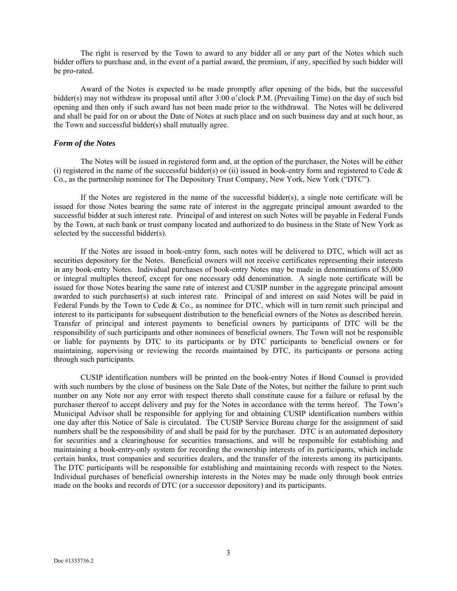The right is reserved by the Town to award to any bidder all or any part of the Notes which such bidder offers to purchase and, in the event of a partial award, the premium, if any, specified by such bidder will be pro-rated.

Award of the Notes is expected to be made promptly after opening of the bids, but the successful bidder(s) may not withdraw its proposal until after 3:00 o'clock P.M. (Prevailing Time) on the day of such bid opening and then only if such award has not been made prior to the withdrawal. The Notes will be delivered and shall be paid for on or about the Date of Notes at such place and on such business day and at such hour, as the Town and successful bidder(s) shall mutually agree.

### *Form of the Notes*

The Notes will be issued in registered form and, at the option of the purchaser, the Notes will be either (i) registered in the name of the successful bidder(s) or (ii) issued in book-entry form and registered to Cede  $\&$ Co., as the partnership nominee for The Depository Trust Company, New York, New York ("DTC").

If the Notes are registered in the name of the successful bidder(s), a single note certificate will be issued for those Notes bearing the same rate of interest in the aggregate principal amount awarded to the successful bidder at such interest rate. Principal of and interest on such Notes will be payable in Federal Funds by the Town, at such bank or trust company located and authorized to do business in the State of New York as selected by the successful bidder(s).

If the Notes are issued in book-entry form, such notes will be delivered to DTC, which will act as securities depository for the Notes. Beneficial owners will not receive certificates representing their interests in any book-entry Notes. Individual purchases of book-entry Notes may be made in denominations of \$5,000 or integral multiples thereof, except for one necessary odd denomination. A single note certificate will be issued for those Notes bearing the same rate of interest and CUSIP number in the aggregate principal amount awarded to such purchaser(s) at such interest rate. Principal of and interest on said Notes will be paid in Federal Funds by the Town to Cede & Co., as nominee for DTC, which will in turn remit such principal and interest to its participants for subsequent distribution to the beneficial owners of the Notes as described herein. Transfer of principal and interest payments to beneficial owners by participants of DTC will be the responsibility of such participants and other nominees of beneficial owners. The Town will not be responsible or liable for payments by DTC to its participants or by DTC participants to beneficial owners or for maintaining, supervising or reviewing the records maintained by DTC, its participants or persons acting through such participants.

CUSIP identification numbers will be printed on the book-entry Notes if Bond Counsel is provided with such numbers by the close of business on the Sale Date of the Notes, but neither the failure to print such number on any Note nor any error with respect thereto shall constitute cause for a failure or refusal by the purchaser thereof to accept delivery and pay for the Notes in accordance with the terms hereof. The Town's Municipal Advisor shall be responsible for applying for and obtaining CUSIP identification numbers within one day after this Notice of Sale is circulated. The CUSIP Service Bureau charge for the assignment of said numbers shall be the responsibility of and shall be paid for by the purchaser. DTC is an automated depository for securities and a clearinghouse for securities transactions, and will be responsible for establishing and maintaining a book-entry-only system for recording the ownership interests of its participants, which include certain banks, trust companies and securities dealers, and the transfer of the interests among its participants. The DTC participants will be responsible for establishing and maintaining records with respect to the Notes. Individual purchases of beneficial ownership interests in the Notes may be made only through book entries made on the books and records of DTC (or a successor depository) and its participants.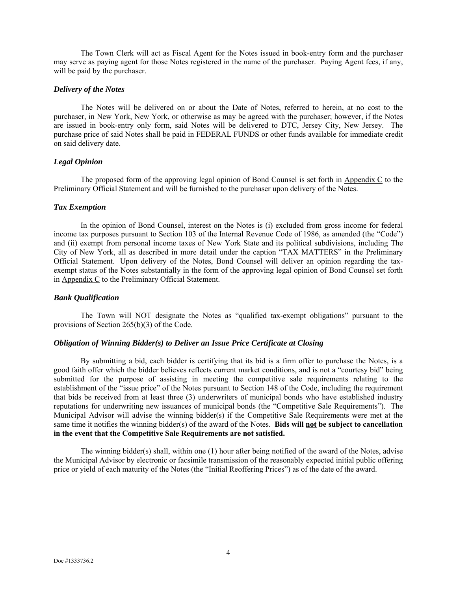The Town Clerk will act as Fiscal Agent for the Notes issued in book-entry form and the purchaser may serve as paying agent for those Notes registered in the name of the purchaser. Paying Agent fees, if any, will be paid by the purchaser.

#### *Delivery of the Notes*

The Notes will be delivered on or about the Date of Notes, referred to herein, at no cost to the purchaser, in New York, New York, or otherwise as may be agreed with the purchaser; however, if the Notes are issued in book-entry only form, said Notes will be delivered to DTC, Jersey City, New Jersey. The purchase price of said Notes shall be paid in FEDERAL FUNDS or other funds available for immediate credit on said delivery date.

### *Legal Opinion*

The proposed form of the approving legal opinion of Bond Counsel is set forth in Appendix C to the Preliminary Official Statement and will be furnished to the purchaser upon delivery of the Notes.

### *Tax Exemption*

In the opinion of Bond Counsel, interest on the Notes is (i) excluded from gross income for federal income tax purposes pursuant to Section 103 of the Internal Revenue Code of 1986, as amended (the "Code") and (ii) exempt from personal income taxes of New York State and its political subdivisions, including The City of New York, all as described in more detail under the caption "TAX MATTERS" in the Preliminary Official Statement. Upon delivery of the Notes, Bond Counsel will deliver an opinion regarding the taxexempt status of the Notes substantially in the form of the approving legal opinion of Bond Counsel set forth in Appendix C to the Preliminary Official Statement.

### *Bank Qualification*

The Town will NOT designate the Notes as "qualified tax-exempt obligations" pursuant to the provisions of Section 265(b)(3) of the Code.

### *Obligation of Winning Bidder(s) to Deliver an Issue Price Certificate at Closing*

By submitting a bid, each bidder is certifying that its bid is a firm offer to purchase the Notes, is a good faith offer which the bidder believes reflects current market conditions, and is not a "courtesy bid" being submitted for the purpose of assisting in meeting the competitive sale requirements relating to the establishment of the "issue price" of the Notes pursuant to Section 148 of the Code, including the requirement that bids be received from at least three (3) underwriters of municipal bonds who have established industry reputations for underwriting new issuances of municipal bonds (the "Competitive Sale Requirements"). The Municipal Advisor will advise the winning bidder(s) if the Competitive Sale Requirements were met at the same time it notifies the winning bidder(s) of the award of the Notes. **Bids will not be subject to cancellation in the event that the Competitive Sale Requirements are not satisfied.**

The winning bidder(s) shall, within one (1) hour after being notified of the award of the Notes, advise the Municipal Advisor by electronic or facsimile transmission of the reasonably expected initial public offering price or yield of each maturity of the Notes (the "Initial Reoffering Prices") as of the date of the award.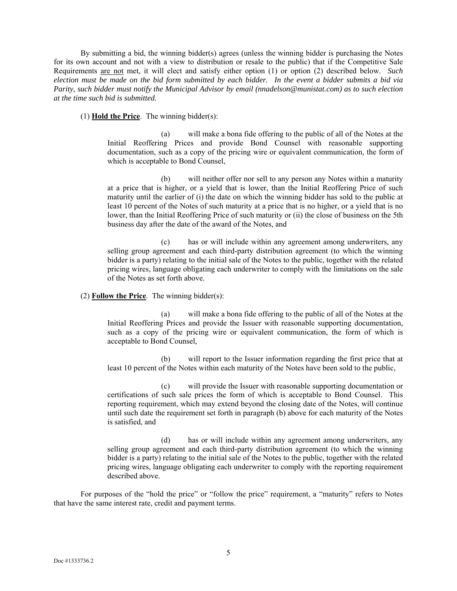By submitting a bid, the winning bidder(s) agrees (unless the winning bidder is purchasing the Notes for its own account and not with a view to distribution or resale to the public) that if the Competitive Sale Requirements are not met, it will elect and satisfy either option (1) or option (2) described below. *Such election must be made on the bid form submitted by each bidder. In the event a bidder submits a bid via Parity, such bidder must notify the Municipal Advisor by email (nnadelson@munistat.com) as to such election at the time such bid is submitted.* 

(1) **Hold the Price**. The winning bidder(s):

(a) will make a bona fide offering to the public of all of the Notes at the Initial Reoffering Prices and provide Bond Counsel with reasonable supporting documentation, such as a copy of the pricing wire or equivalent communication, the form of which is acceptable to Bond Counsel,

(b) will neither offer nor sell to any person any Notes within a maturity at a price that is higher, or a yield that is lower, than the Initial Reoffering Price of such maturity until the earlier of (i) the date on which the winning bidder has sold to the public at least 10 percent of the Notes of such maturity at a price that is no higher, or a yield that is no lower, than the Initial Reoffering Price of such maturity or (ii) the close of business on the 5th business day after the date of the award of the Notes, and

(c) has or will include within any agreement among underwriters, any selling group agreement and each third-party distribution agreement (to which the winning bidder is a party) relating to the initial sale of the Notes to the public, together with the related pricing wires, language obligating each underwriter to comply with the limitations on the sale of the Notes as set forth above.

### (2) **Follow the Price**. The winning bidder(s):

(a) will make a bona fide offering to the public of all of the Notes at the Initial Reoffering Prices and provide the Issuer with reasonable supporting documentation, such as a copy of the pricing wire or equivalent communication, the form of which is acceptable to Bond Counsel,

(b) will report to the Issuer information regarding the first price that at least 10 percent of the Notes within each maturity of the Notes have been sold to the public,

(c) will provide the Issuer with reasonable supporting documentation or certifications of such sale prices the form of which is acceptable to Bond Counsel. This reporting requirement, which may extend beyond the closing date of the Notes, will continue until such date the requirement set forth in paragraph (b) above for each maturity of the Notes is satisfied, and

(d) has or will include within any agreement among underwriters, any selling group agreement and each third-party distribution agreement (to which the winning bidder is a party) relating to the initial sale of the Notes to the public, together with the related pricing wires, language obligating each underwriter to comply with the reporting requirement described above.

For purposes of the "hold the price" or "follow the price" requirement, a "maturity" refers to Notes that have the same interest rate, credit and payment terms.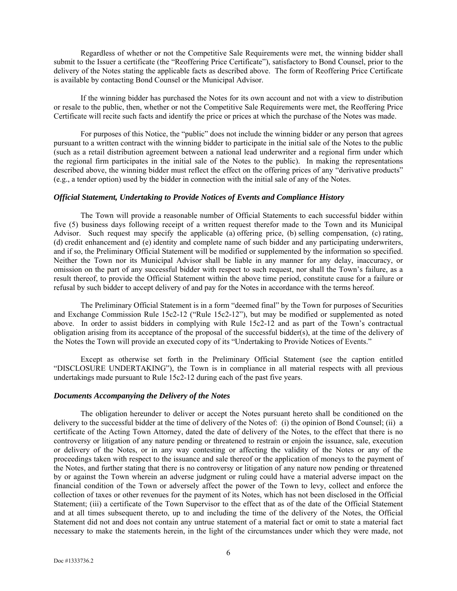Regardless of whether or not the Competitive Sale Requirements were met, the winning bidder shall submit to the Issuer a certificate (the "Reoffering Price Certificate"), satisfactory to Bond Counsel, prior to the delivery of the Notes stating the applicable facts as described above. The form of Reoffering Price Certificate is available by contacting Bond Counsel or the Municipal Advisor.

If the winning bidder has purchased the Notes for its own account and not with a view to distribution or resale to the public, then, whether or not the Competitive Sale Requirements were met, the Reoffering Price Certificate will recite such facts and identify the price or prices at which the purchase of the Notes was made.

For purposes of this Notice, the "public" does not include the winning bidder or any person that agrees pursuant to a written contract with the winning bidder to participate in the initial sale of the Notes to the public (such as a retail distribution agreement between a national lead underwriter and a regional firm under which the regional firm participates in the initial sale of the Notes to the public). In making the representations described above, the winning bidder must reflect the effect on the offering prices of any "derivative products" (e.g., a tender option) used by the bidder in connection with the initial sale of any of the Notes.

#### *Official Statement, Undertaking to Provide Notices of Events and Compliance History*

The Town will provide a reasonable number of Official Statements to each successful bidder within five (5) business days following receipt of a written request therefor made to the Town and its Municipal Advisor. Such request may specify the applicable (a) offering price, (b) selling compensation, (c) rating, (d) credit enhancement and (e) identity and complete name of such bidder and any participating underwriters, and if so, the Preliminary Official Statement will be modified or supplemented by the information so specified. Neither the Town nor its Municipal Advisor shall be liable in any manner for any delay, inaccuracy, or omission on the part of any successful bidder with respect to such request, nor shall the Town's failure, as a result thereof, to provide the Official Statement within the above time period, constitute cause for a failure or refusal by such bidder to accept delivery of and pay for the Notes in accordance with the terms hereof.

The Preliminary Official Statement is in a form "deemed final" by the Town for purposes of Securities and Exchange Commission Rule 15c2-12 ("Rule 15c2-12"), but may be modified or supplemented as noted above. In order to assist bidders in complying with Rule 15c2-12 and as part of the Town's contractual obligation arising from its acceptance of the proposal of the successful bidder(s), at the time of the delivery of the Notes the Town will provide an executed copy of its "Undertaking to Provide Notices of Events."

Except as otherwise set forth in the Preliminary Official Statement (see the caption entitled "DISCLOSURE UNDERTAKING"), the Town is in compliance in all material respects with all previous undertakings made pursuant to Rule 15c2-12 during each of the past five years.

#### *Documents Accompanying the Delivery of the Notes*

The obligation hereunder to deliver or accept the Notes pursuant hereto shall be conditioned on the delivery to the successful bidder at the time of delivery of the Notes of: (i) the opinion of Bond Counsel; (ii) a certificate of the Acting Town Attorney, dated the date of delivery of the Notes, to the effect that there is no controversy or litigation of any nature pending or threatened to restrain or enjoin the issuance, sale, execution or delivery of the Notes, or in any way contesting or affecting the validity of the Notes or any of the proceedings taken with respect to the issuance and sale thereof or the application of moneys to the payment of the Notes, and further stating that there is no controversy or litigation of any nature now pending or threatened by or against the Town wherein an adverse judgment or ruling could have a material adverse impact on the financial condition of the Town or adversely affect the power of the Town to levy, collect and enforce the collection of taxes or other revenues for the payment of its Notes, which has not been disclosed in the Official Statement; (iii) a certificate of the Town Supervisor to the effect that as of the date of the Official Statement and at all times subsequent thereto, up to and including the time of the delivery of the Notes, the Official Statement did not and does not contain any untrue statement of a material fact or omit to state a material fact necessary to make the statements herein, in the light of the circumstances under which they were made, not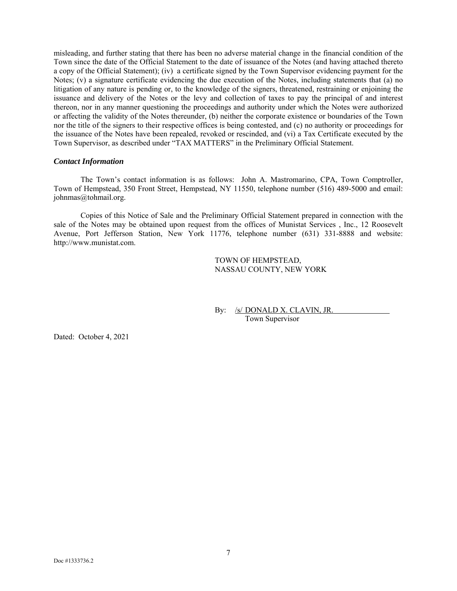misleading, and further stating that there has been no adverse material change in the financial condition of the Town since the date of the Official Statement to the date of issuance of the Notes (and having attached thereto a copy of the Official Statement); (iv) a certificate signed by the Town Supervisor evidencing payment for the Notes; (v) a signature certificate evidencing the due execution of the Notes, including statements that (a) no litigation of any nature is pending or, to the knowledge of the signers, threatened, restraining or enjoining the issuance and delivery of the Notes or the levy and collection of taxes to pay the principal of and interest thereon, nor in any manner questioning the proceedings and authority under which the Notes were authorized or affecting the validity of the Notes thereunder, (b) neither the corporate existence or boundaries of the Town nor the title of the signers to their respective offices is being contested, and (c) no authority or proceedings for the issuance of the Notes have been repealed, revoked or rescinded, and (vi) a Tax Certificate executed by the Town Supervisor, as described under "TAX MATTERS" in the Preliminary Official Statement.

### *Contact Information*

The Town's contact information is as follows: John A. Mastromarino, CPA, Town Comptroller, Town of Hempstead, 350 Front Street, Hempstead, NY 11550, telephone number (516) 489-5000 and email: johnmas@tohmail.org.

Copies of this Notice of Sale and the Preliminary Official Statement prepared in connection with the sale of the Notes may be obtained upon request from the offices of Munistat Services , Inc., 12 Roosevelt Avenue, Port Jefferson Station, New York 11776, telephone number (631) 331-8888 and website: http://www.munistat.com.

> TOWN OF HEMPSTEAD, NASSAU COUNTY, NEW YORK

By: /s/ DONALD X. CLAVIN, JR. Town Supervisor

Dated: October 4, 2021